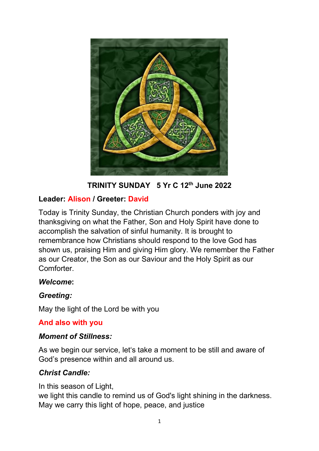

**TRINITY SUNDAY 5 Yr C 12th June 2022** 

## **Leader: Alison / Greeter: David**

Today is Trinity Sunday, the Christian Church ponders with joy and thanksgiving on what the Father, Son and Holy Spirit have done to accomplish the salvation of sinful humanity. It is brought to remembrance how Christians should respond to the love God has shown us, praising Him and giving Him glory. We remember the Father as our Creator, the Son as our Saviour and the Holy Spirit as our Comforter.

## *Welcome***:**

## *Greeting:*

May the light of the Lord be with you

## **And also with you**

## *Moment of Stillness:*

As we begin our service, let's take a moment to be still and aware of God's presence within and all around us.

## *Christ Candle:*

In this season of Light,

we light this candle to remind us of God's light shining in the darkness. May we carry this light of hope, peace, and justice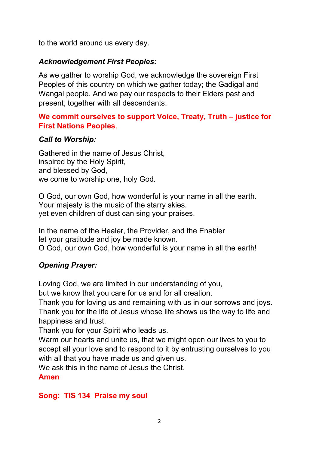to the world around us every day.

## *Acknowledgement First Peoples:*

As we gather to worship God, we acknowledge the sovereign First Peoples of this country on which we gather today; the Gadigal and Wangal people. And we pay our respects to their Elders past and present, together with all descendants.

## **We commit ourselves to support Voice, Treaty, Truth – justice for First Nations Peoples**.

## *Call to Worship:*

Gathered in the name of Jesus Christ, inspired by the Holy Spirit, and blessed by God, we come to worship one, holy God.

O God, our own God, how wonderful is your name in all the earth. Your majesty is the music of the starry skies. yet even children of dust can sing your praises.

In the name of the Healer, the Provider, and the Enabler let your gratitude and joy be made known. O God, our own God, how wonderful is your name in all the earth!

## *Opening Prayer:*

Loving God, we are limited in our understanding of you,

but we know that you care for us and for all creation.

Thank you for loving us and remaining with us in our sorrows and joys. Thank you for the life of Jesus whose life shows us the way to life and happiness and trust.

Thank you for your Spirit who leads us.

Warm our hearts and unite us, that we might open our lives to you to accept all your love and to respond to it by entrusting ourselves to you with all that you have made us and given us.

We ask this in the name of Jesus the Christ.

**Amen**

#### **Song: TIS 134 Praise my soul**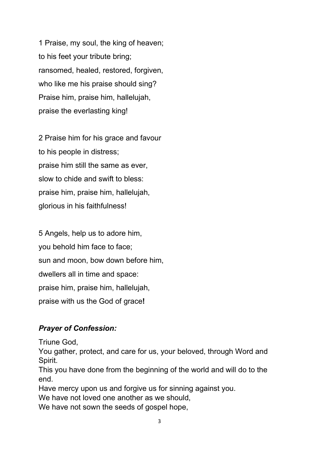1 Praise, my soul, the king of heaven; to his feet your tribute bring; ransomed, healed, restored, forgiven, who like me his praise should sing? Praise him, praise him, hallelujah, praise the everlasting king!

2 Praise him for his grace and favour to his people in distress; praise him still the same as ever, slow to chide and swift to bless: praise him, praise him, hallelujah, glorious in his faithfulness!

5 Angels, help us to adore him, you behold him face to face; sun and moon, bow down before him, dwellers all in time and space: praise him, praise him, hallelujah, praise with us the God of grace**!**

## *Prayer of Confession:*

Triune God,

You gather, protect, and care for us, your beloved, through Word and Spirit.

This you have done from the beginning of the world and will do to the end.

Have mercy upon us and forgive us for sinning against you.

We have not loved one another as we should,

We have not sown the seeds of gospel hope,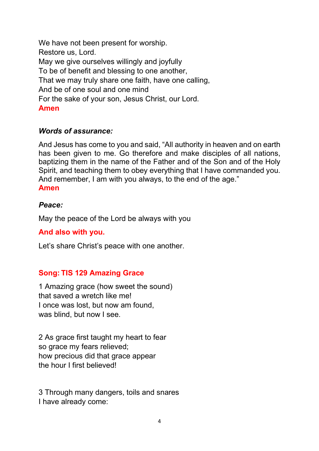We have not been present for worship. Restore us, Lord. May we give ourselves willingly and joyfully To be of benefit and blessing to one another, That we may truly share one faith, have one calling, And be of one soul and one mind For the sake of your son, Jesus Christ, our Lord. **Amen**

### *Words of assurance:*

And Jesus has come to you and said, "All authority in heaven and on earth has been given to me. Go therefore and make disciples of all nations, baptizing them in the name of the Father and of the Son and of the Holy Spirit, and teaching them to obey everything that I have commanded you. And remember, I am with you always, to the end of the age." **Amen**

#### *Peace:*

May the peace of the Lord be always with you

#### **And also with you.**

Let's share Christ's peace with one another.

## **Song: TIS 129 Amazing Grace**

1 Amazing grace (how sweet the sound) that saved a wretch like me! I once was lost, but now am found, was blind, but now I see.

2 As grace first taught my heart to fear so grace my fears relieved; how precious did that grace appear the hour I first believed!

3 Through many dangers, toils and snares I have already come: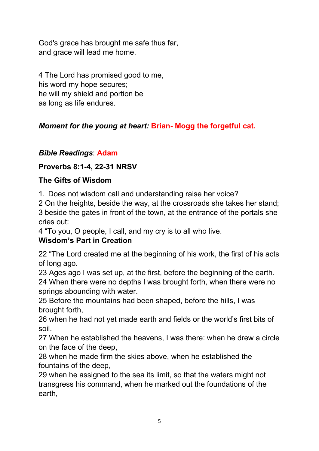God's grace has brought me safe thus far, and grace will lead me home.

4 The Lord has promised good to me, his word my hope secures; he will my shield and portion be as long as life endures.

# *Moment for the young at heart:* **Brian- Mogg the forgetful cat.**

# *Bible Readings*: **Adam**

## **Proverbs 8:1-4, 22-31 NRSV**

## **The Gifts of Wisdom**

1. Does not wisdom call and understanding raise her voice?

2 On the heights, beside the way, at the crossroads she takes her stand; 3 beside the gates in front of the town, at the entrance of the portals she cries out:

4 "To you, O people, I call, and my cry is to all who live.

## **Wisdom's Part in Creation**

22 "The Lord created me at the beginning of his work, the first of his acts of long ago.

23 Ages ago I was set up, at the first, before the beginning of the earth. 24 When there were no depths I was brought forth, when there were no springs abounding with water.

25 Before the mountains had been shaped, before the hills, I was brought forth,

26 when he had not yet made earth and fields or the world's first bits of soil.

27 When he established the heavens, I was there: when he drew a circle on the face of the deep,

28 when he made firm the skies above, when he established the fountains of the deep,

29 when he assigned to the sea its limit, so that the waters might not transgress his command, when he marked out the foundations of the earth,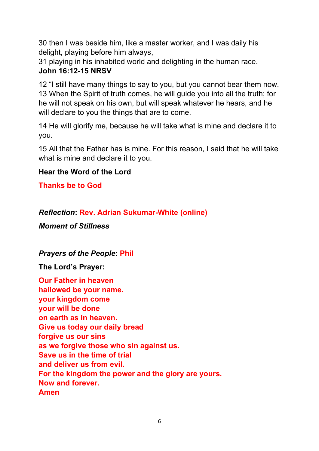30 then I was beside him, like a master worker, and I was daily his delight, playing before him always,

31 playing in his inhabited world and delighting in the human race. **John 16:12-15 NRSV**

12 "I still have many things to say to you, but you cannot bear them now. 13 When the Spirit of truth comes, he will guide you into all the truth; for he will not speak on his own, but will speak whatever he hears, and he will declare to you the things that are to come.

14 He will glorify me, because he will take what is mine and declare it to you.

15 All that the Father has is mine. For this reason, I said that he will take what is mine and declare it to you.

## **Hear the Word of the Lord**

**Thanks be to God**

*Reflection***: Rev. Adrian Sukumar-White (online)**

*Moment of Stillness*

*Prayers of the People***: Phil**

**The Lord's Prayer:**

**Our Father in heaven hallowed be your name. your kingdom come your will be done on earth as in heaven. Give us today our daily bread forgive us our sins as we forgive those who sin against us. Save us in the time of trial and deliver us from evil. For the kingdom the power and the glory are yours. Now and forever. Amen**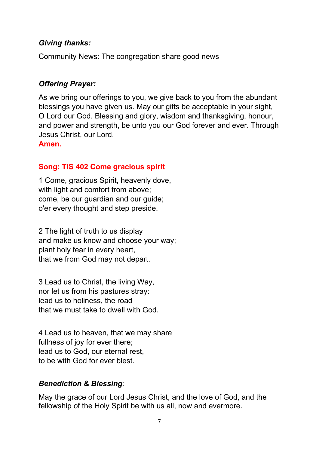### *Giving thanks:*

Community News: The congregation share good news

## *Offering Prayer:*

As we bring our offerings to you, we give back to you from the abundant blessings you have given us. May our gifts be acceptable in your sight, O Lord our God. Blessing and glory, wisdom and thanksgiving, honour, and power and strength, be unto you our God forever and ever. Through Jesus Christ, our Lord,

**Amen.**

## **Song: TIS 402 Come gracious spirit**

1 Come, gracious Spirit, heavenly dove, with light and comfort from above; come, be our guardian and our guide; o'er every thought and step preside.

2 The light of truth to us display and make us know and choose your way; plant holy fear in every heart, that we from God may not depart.

3 Lead us to Christ, the living Way, nor let us from his pastures stray: lead us to holiness, the road that we must take to dwell with God.

4 Lead us to heaven, that we may share fullness of joy for ever there; lead us to God, our eternal rest, to be with God for ever blest.

## *Benediction & Blessing:*

May the grace of our Lord Jesus Christ, and the love of God, and the fellowship of the Holy Spirit be with us all, now and evermore.